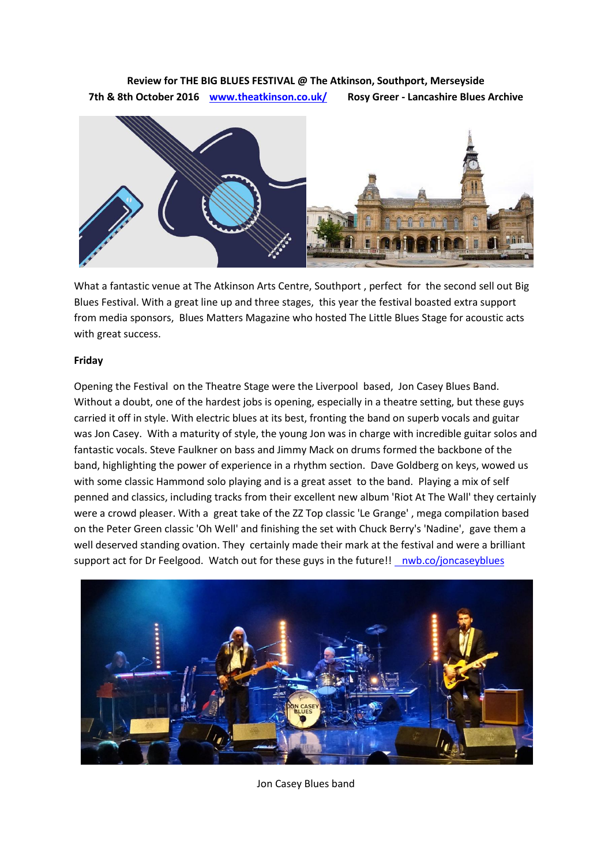## **Review for THE BIG BLUES FESTIVAL @ The Atkinson, Southport, Merseyside 7th & 8th October 2016 [www.theatkinson.co.uk/](http://www.theatkinson.co.uk/special-event/big-blues-festival-2016/) Rosy Greer - Lancashire Blues Archive**



What a fantastic venue at The Atkinson Arts Centre, Southport , perfect for the second sell out Big Blues Festival. With a great line up and three stages, this year the festival boasted extra support from media sponsors, Blues Matters Magazine who hosted The Little Blues Stage for acoustic acts with great success.

## **Friday**

Opening the Festival on the Theatre Stage were the Liverpool based, Jon Casey Blues Band. Without a doubt, one of the hardest jobs is opening, especially in a theatre setting, but these guys carried it off in style. With electric blues at its best, fronting the band on superb vocals and guitar was Jon Casey. With a maturity of style, the young Jon was in charge with incredible guitar solos and fantastic vocals. Steve Faulkner on bass and Jimmy Mack on drums formed the backbone of the band, highlighting the power of experience in a rhythm section. Dave Goldberg on keys, wowed us with some classic Hammond solo playing and is a great asset to the band. Playing a mix of self penned and classics, including tracks from their excellent new album 'Riot At The Wall' they certainly were a crowd pleaser. With a great take of the ZZ Top classic 'Le Grange' , mega compilation based on the Peter Green classic 'Oh Well' and finishing the set with Chuck Berry's 'Nadine', gave them a well deserved standing ovation. They certainly made their mark at the festival and were a brilliant support act for Dr Feelgood. Watch out for these guys in the future![! nwb.co/joncaseyblues](http://nwb.co/joncaseyblues)



Jon Casey Blues band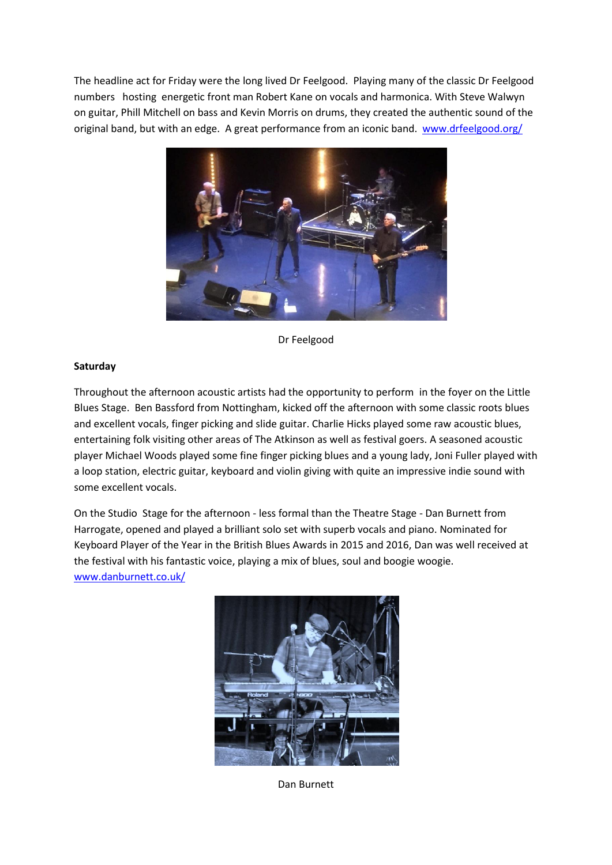The headline act for Friday were the long lived Dr Feelgood. Playing many of the classic Dr Feelgood numbers hosting energetic front man Robert Kane on vocals and harmonica. With Steve Walwyn on guitar, Phill Mitchell on bass and Kevin Morris on drums, they created the authentic sound of the original band, but with an edge. A great performance from an iconic band. [www.drfeelgood.org/](http://www.drfeelgood.org/)



Dr Feelgood

## **Saturday**

Throughout the afternoon acoustic artists had the opportunity to perform in the foyer on the Little Blues Stage. Ben Bassford from Nottingham, kicked off the afternoon with some classic roots blues and excellent vocals, finger picking and slide guitar. Charlie Hicks played some raw acoustic blues, entertaining folk visiting other areas of The Atkinson as well as festival goers. A seasoned acoustic player Michael Woods played some fine finger picking blues and a young lady, Joni Fuller played with a loop station, electric guitar, keyboard and violin giving with quite an impressive indie sound with some excellent vocals.

On the Studio Stage for the afternoon - less formal than the Theatre Stage - Dan Burnett from Harrogate, opened and played a brilliant solo set with superb vocals and piano. Nominated for Keyboard Player of the Year in the British Blues Awards in 2015 and 2016, Dan was well received at the festival with his fantastic voice, playing a mix of blues, soul and boogie woogie. [www.danburnett.co.uk/](http://www.danburnett.co.uk/)



Dan Burnett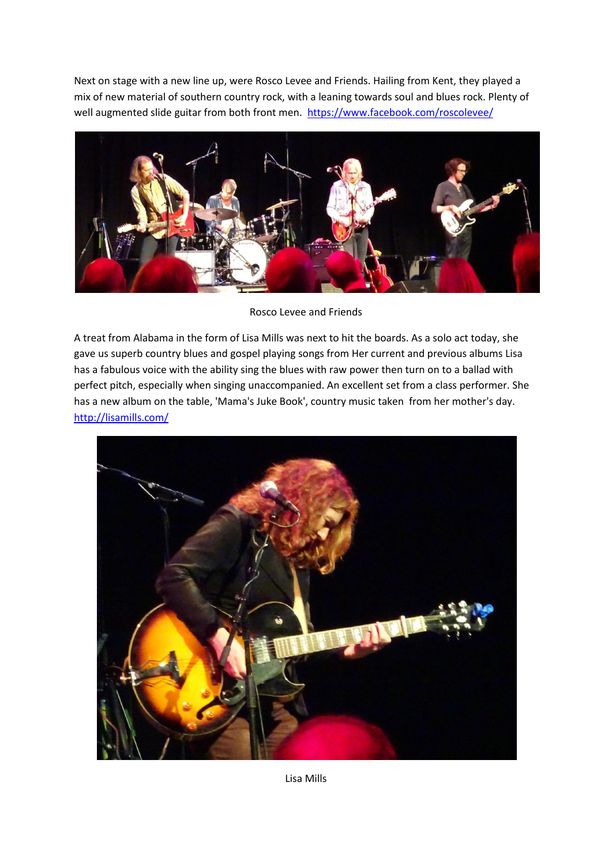Next on stage with a new line up, were Rosco Levee and Friends. Hailing from Kent, they played a mix of new material of southern country rock, with a leaning towards soul and blues rock. Plenty of well augmented slide guitar from both front men. <https://www.facebook.com/roscolevee/>



Rosco Levee and Friends

A treat from Alabama in the form of Lisa Mills was next to hit the boards. As a solo act today, she gave us superb country blues and gospel playing songs from Her current and previous albums Lisa has a fabulous voice with the ability sing the blues with raw power then turn on to a ballad with perfect pitch, especially when singing unaccompanied. An excellent set from a class performer. She has a new album on the table, 'Mama's Juke Book', country music taken from her mother's day. <http://lisamills.com/>



Lisa Mills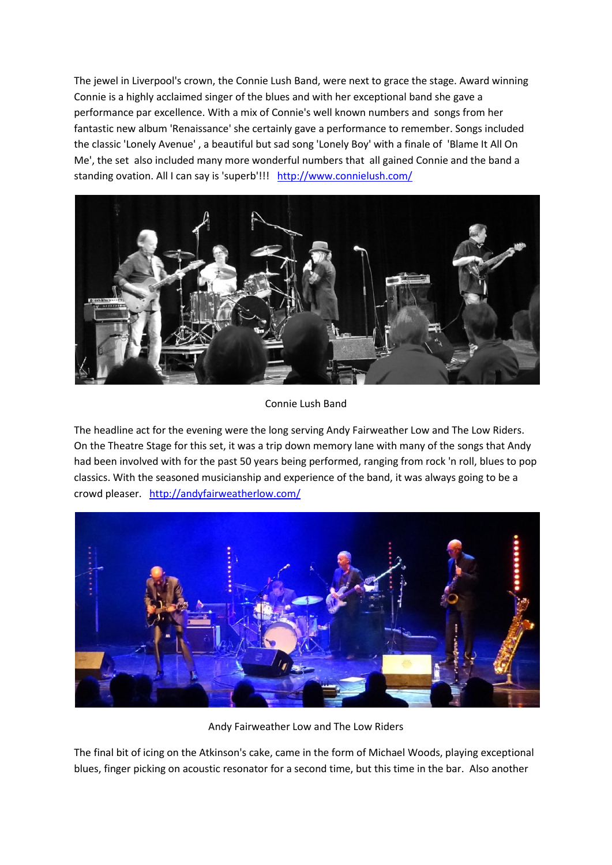The jewel in Liverpool's crown, the Connie Lush Band, were next to grace the stage. Award winning Connie is a highly acclaimed singer of the blues and with her exceptional band she gave a performance par excellence. With a mix of Connie's well known numbers and songs from her fantastic new album 'Renaissance' she certainly gave a performance to remember. Songs included the classic 'Lonely Avenue' , a beautiful but sad song 'Lonely Boy' with a finale of 'Blame It All On Me', the set also included many more wonderful numbers that all gained Connie and the band a standing ovation. All I can say is 'superb'!!! <http://www.connielush.com/>



Connie Lush Band

The headline act for the evening were the long serving Andy Fairweather Low and The Low Riders. On the Theatre Stage for this set, it was a trip down memory lane with many of the songs that Andy had been involved with for the past 50 years being performed, ranging from rock 'n roll, blues to pop classics. With the seasoned musicianship and experience of the band, it was always going to be a crowd pleaser. <http://andyfairweatherlow.com/>



Andy Fairweather Low and The Low Riders

The final bit of icing on the Atkinson's cake, came in the form of Michael Woods, playing exceptional blues, finger picking on acoustic resonator for a second time, but this time in the bar. Also another